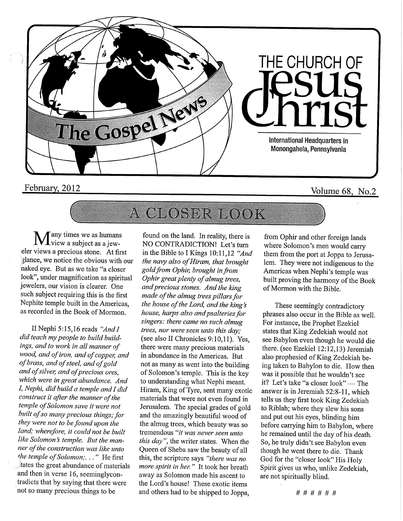

## February, 2012 Volume 68, No.2

## A CLOSER LOOK

Tany times we as humans<br>View a subject as a jew--view a subject as ajeweler views a precious stone. At first glance, we notice the obvious with our<br>naked eye. But as we take "a closer  $\frac{1}{2}$  and  $\frac{1}{2}$  but as we take  $\frac{1}{2}$  closer  $\frac{1}{1}$  under magnification as spiritual jewelers, our vision is clearer. One Nephite temple built in the Americas, Nephite temple built in the Americas, as recorded in the Book of Mormon.

II Nephi 5:15,16 reads "And I<br>did teach my people to build buildings, and to work in all manner of wood, and of iron, and of copper, and wood, and of iron, and of copper, and of brass, and of steel, and of gold and of silver, and of precious ores,<br>which were in great abundance. And which were in great abundance. And /, Nephi, did build a temple and I did construct it after the manner of the<br>temple of Solomon save it were not  $t_{\text{t}}$  of Solomon save it were not built of so many precious things; for  $t$  were not to be found upon the  $t$  $\mu$ a, wherefore, it could not be built re solomon's temple. But the manner of the construction was like unto the temple of Solomon;... He first  $\frac{1}{4}$ , the great abundance of materials and then in verse 16, seemingly contradicts that by saying that there were that by saying that there were not so many precious things to be

found on the land. In reality, there is NO CONTRADICTION! Let's turn in the Bible to I Kings 10:11,12 "And the navy also of Hiram, that brought gold from Ophir, brought in from Ophir great plenty of almug trees, and precious stones. And the king made of the almug trees pillars for the house of the Lord, and the king's house, harps also and psalteries for singers: there came no such almug trees, nor were seen unto this day; (see also II Chronicles 9:10,11). Yes, there were many precious materials in abundance in the Americas. But not as many as went into the building of Solomon's temple. This is the key to understanding what Nephi meant. Hiram, King of Tyre, sent many exotic materials that were not even found in Jerusalem. The special grades of gold and the amazingly beautiful wood of the almug trees, which beauty was so tremendous "it was never seen unto this day", the writer states. When the Queen of Sheba saw the beauty of all this, the scripture says "there was no more spirit in her. " It took her breath away as Solomon made his ascent to the Lord's house! These exotic items and others had to be shipped to Joppa,

from Ophir and other foreign lands where Solomon's men would carry them from the port at Joppa to Jerusalem. They were not indigenous to the Americas when Nephi's temple was built proving the harmony of the Book of Mormon with the Bible.

These seemingly contradictory phrases also occur in the Bible as well. For instance, the Prophet Ezekiel states that King Zedekiah would not see Babylon even though he would die there, (see Ezekiel 12:12,13) Jeremiah also prophesied of King Zedekiah being taken to Babylon to die. How then was it possible that he wouldn't see it? Let's take "a closer look" — The answer is in Jeremiah 52:8-11, which tells us they first took King Zedekiah to Riblah; where they slew his sons and put out his eyes, blinding him before carrying him to Babylon, where he remained until the day of his death. So, he truly didn't see Babylon even though he went there to die. Thank God for the "closer look" His Holy Spirit gives us who, unlike Zedekiah, are not spiritually blind.

# # # # # #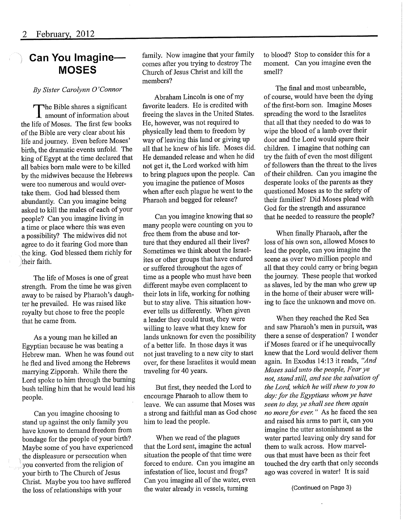### Can You Imagine— **MOSES**

#### By Sister Carolynn 0 'Connor

The Bible shares a significant **L** amount of information about the life of Moses. The first few books of the Bible are very clear about his life and journey. Even before Moses' birth, the dramatic events unfold. The king of Egypt at the time declared that all babies born male were to be killed by the midwives because the Hebrews were too numerous and would overtake them. God had blessed them abundantly. Can you imagine being asked to kill the males of each of your people? Can you imagine living in a time or place where this was even a possibility? The midwives did not agree to do it fearing God more than the king. God blessed them richly for their faith.

The life of Moses is one of great strength. From the time he was given away to be raised by Pharaoh's daughter he prevailed. He was raised like royalty but chose to free the people that he came from.

As a young man he killed an Egyptian because he was beating a Hebrew man. When he was found out he fled and lived among the Hebrews marrying Zipporah. While there the Lord spoke to him through the burning bush telling him that he would lead his people.

Can you imagine choosing to stand up against the only family you have known to demand freedom from bondage for the people of your birth?. Maybe some of you have experienced the displeasure or persecution when you converted from the religion of your birth to The Church of Jesus Christ. Maybe you too have suffered the loss of relationships with your

family. Now imagine that your family comes after you trying to destroy The Church of Jesus Christ and kill the members?

Abraham Lincoln is one of my favorite leaders. He is credited with freeing the slaves in the United States. He, however, was not required to physically lead them to freedom by way of leaving this land or giving up all that he knew of his life. Moses did. He demanded release and when he did not get it, the Lord worked with him to bring plagues upon the people. Can you imagine the patience of Moses when after each plague he went to the Pharaoh and begged for release?

Can you imagine knowing that so many people were counting on you to free them from the abuse and torture that they endured all their lives? Sometimes we think about the Israelites or other groups that have endured or suffered throughout the ages of time as a people who must have been different maybe even complacent to their lots in life, working for nothing but to stay alive. This situation however tells us differently. When given a leader they could trust, they were willing to leave what they knew for lands unknown for even the possibility of a better life. In those days it was not just traveling to a new city to start over, for these Israelites it would mean traveling for 40 years.

But first, they needed the Lord to encourage Pharaoh to allow them to leave. We can assume that Moses was a strong and faithful man as God chose him to lead the people.

When we read of the plagues that the Lord sent, imagine the actual situation the people of that time were forced to endure. Can you imagine an infestation of lice, locust and frogs? Can you imagine all of the water, even the water already in vessels, turning

to blood? Stop to consider this for a moment. Can you imagine even the smell?

The final and most unbearable, of course, would have been the dying of the first-born son. Imagine Moses spreading the word to the Israelites that all that they needed to do was to wipe the blood of a lamb over their door and the Lord would spare their<br>children. I imagine that nothing can mildren. I imagine that nothing can  $t_{\rm F}$  the faith of even the most different of followers than the threat to the lives<br>of their children. Can you imagine the desperate looks of the parents as they desperate looks of the parents as they questioned Moses as to the safety of their families? Did Moses plead with<br>God for the strength and assurance God for the strength and assurance that he needed to reassure the people?

When finally Pharaoh, after the loss of his own son, allowed Moses to<br>lead the people, can you imagine the ead the people, can you imagine the scene as over two million people and all that they could carry or bring began<br>the journey. These people that worked the journey. These people that worked as slaves, led by the man who grew up in the home of their abuser were willing to face the unknown and move on.

When they reached the Red Sea and saw Pharaoh's men in pursuit, was there a sense of desperation? I wonder<br>if Moses feared or if he unequivocally if Moses feared or if he unequivocally knew that the Lord would deliver them again. In Exodus 14:13 it reads, "And Moses said unto the people, Fear ye not, stand still, and see the salvation of the Lord, which he will shew to you to<br>day: for the Egyptians whom ye have seen to day, ye shall see them again seen to day, ye shall see them again no more for ever. " As he faced the sea and raised his amis to part it, can you imagine the utter astonishment as the water parted leaving only dry sand for them to walk across. How marvelous that must have been as their feet touched the dry earth that only seconds ago was covered in water! It is said

(Continued on Page 3)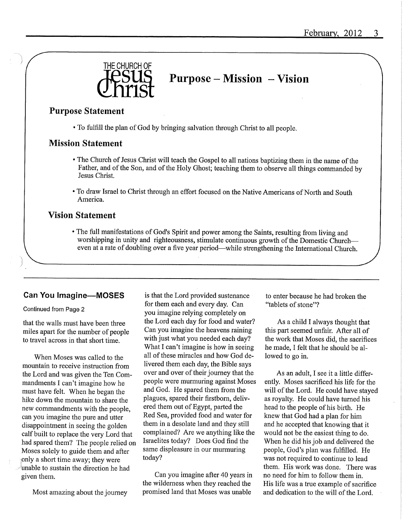

## Purpose - Mission - Vision

### Purpose Statement

• To fulfill the plan of God by bringing salvation through Christ to all people.

### Mission Statement

- The Church of Jesus Christ will teach the Gospel to all nations baptizing them in the name of the Father, and of the Son, and of the Holy Ghost; teaching them to observe all things commanded by Jesus Christ.
- To draw Israel to Christ through an effort focused on the Native Americans of North and South America.

### Vision Statement

• The full manifestations of God's Spirit and power among the Saints, resulting from living and worshipping in unity and righteousness, stimulate continuous growth of the Domestic Church even at a rate of doubling over a five year period—while strengthening the International Church.

### Can You Imagine—MOSES

#### Continued from Page 2

that the walls must have been three miles apart for the number of people to travel across in that short time.

When Moses was called to the mountain to receive instruction from the Lord and was given the Ten Commandments I can't imagine how he must have felt. When he began the hike down the mountain to share the new commandments with the people, can you imagine the pure and utter disappointment in seeing the golden calf built to replace the very Lord that had spared them? The people relied on Moses solely to guide them and after only a short time away; they were unable to sustain the direction he had given them.

Most amazing about the journey

is that the Lord provided sustenance for them each and every day. Can you imagine relying completely on the Lord each day for food and water? Can you imagine the heavens raining with just what you needed each day? What I can't imagine is how in seeing all of these miracles and how God delivered them each day, the Bible says over and over of their journey that the people were murmuring against Moses and God. He spared them from the plagues, spared their firstborn, delivered them out of Egypt, parted the Red Sea, provided food and water for them in a desolate land and they still complained? Are we anything like the Israelites today? Does God find the same displeasure in our murmuring today?

Can you imagine after 40 years in the wilderness when they reached the promised land that Moses was unable

to enter because he had broken the "tablets of stone"?

As a child I always thought that this part seemed unfair. After all of the work that Moses did, the sacrifices he made, I felt that he should be allowed to go in.

As an adult, I see it a little differently. Moses sacrificed his life for the will of the Lord. He could have stayed as royalty. He could have turned his head to the people of his birth. He knew that God had a plan for him and he accepted that knowing that it would not be the easiest thing to do. When he did his job and delivered the people. God's plan was fulfilled. He was not required to continue to lead them. His work was done. There was no need for him to follow them in. His life was a true example of sacrifice and dedication to the will of the Lord.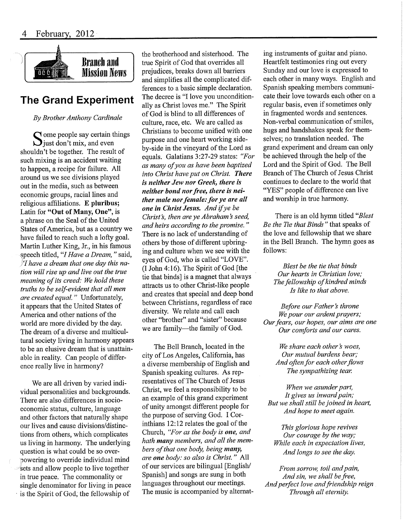

### The Grand Experiment

By Brother Anthony Cardinale

ome people say certain things ^ just don't mix, and even shouldn't be together. The result of such mixing is an accident waiting to happen, a recipe for failure. All around us we see divisions played out in the media, such as between economic groups, racial lines and religious affiliations. E pluribus; Latin for "Out of Many, One", is a phrase on the Seal of the United States of America, but as a country we have failed to reach such a lofty goal, Martin Luther King, Jr., in his famous speech titled, "I Have a Dream," said, If have a dream that one day this nation will rise up and live out the true meaning of its creed: We hold these truths to be self-evident that all men are created equal. " Unfortunately, it appears that the United States of America and other nations of the world are more divided by the day. The dream of a diverse and multicultural society living in harmony appears to be an elusive dream that is unattainable in reality. Can people of difference really live in harmony?

We are all driven by varied individual personalities and backgrounds. There are also differences in socioeconomic status, culture, language and other factors that naturally shape our lives and cause divisions/distinctions from others, which complicates us living in harmony. The underlying question is what could be so overpowering to override individual mind sets and allow people to live together in true peace. The commonality or single denominator for living in peace is the Spirit of God, the fellowship of

the brotherhood and sisterhood. The tme Spirit of God that overrides all prejudices, breaks down all barriers and simplifies all the complicated differences to a basic simple declaration. The decree is "I love you unconditionally as Christ loves me." The Spirit of God is blind to all differences of culture, race, etc. We are called as Christians to become unified with one purpose and one heart working sideby-side in the vineyard of the Lord as equals. Galatians 3:27-29 states: "For as many of you as have been baptized into Christ have put on Christ. There is neither Jew nor Greek, there is neither bond nor free, there is neither male nor female: for ye are all one in Christ Jesus. And if ye be Christ's, then are ye Abraham's seed, and heirs according to the promise." There is no lack of understanding of others by those of different upbringing and culture when we see with the eyes of God, who is called "LOVE". (I John 4:16). The Spirit of God [the tie that binds] is a magnet that always attracts us to other Christ-like people and creates that special and deep bond between Christians, regardless of race diversity. We relate and call each other "brother" and "sister" because we are family—the family of God.

The Bell Branch, located in the city of Los Angeles, California, has a diverse membership of English and Spanish speaking cultures. As representatives of The Church of Jesus Christ, we feel a responsibility to be an example of this grand experiment of unity amongst different people for the purpose of serving God. I Corinthians 12:12 relates the goal of the Church, "For as the body is one, and hath many members, and all the members of that one body, being many, are one body: so also is Christ." All of our services are bilingual [English/ Spanish] and songs are sung in both languages throughout our meetings. The music is accompanied by altemating instruments of guitar and piano. Heartfelt testimonies ring out every Sunday and our love is expressed to each other in many ways. English and Spanish speaking members communicate their love towards each other on a regular basis, even if sometimes only in fragmented words and sentences. Non-verbal communication of smiles, hugs and handshakes speak for themselves; no translation needed. The grand experiment and dream can only be achieved through the help of the Lord and the Spirit of God. The Bell Branch of The Church of Jesus Christ continues to declare to the world that "YES" people of difference can live and worship in true harmony.

There is an old hymn titled "Blest" Be the Tie that Binds" that speaks of the love and fellowship that we share in the Bell Branch. The hymn goes as follows:

Blest be the tie that binds Our hearts in Christian love; The fellowship of kindred minds Is like to that above.

Before our Father's throne We pour our ardent prayers; Our fears, our hopes, our aims are one Our comforts and our cares.

> We share each other's woes, Our mutual burdens bear; And often for each other flows The sympathizing tear.

When we asunder part, It gives us inward pain; But we shall still be joined in heart, And hope to meet again.

This glorious hope revives Our courage by the way; While each in expectation lives, And longs to see the day.

From sorrow, toil and pain, And sin, we shall be free, And perfect love and friendship reign Through all eternity.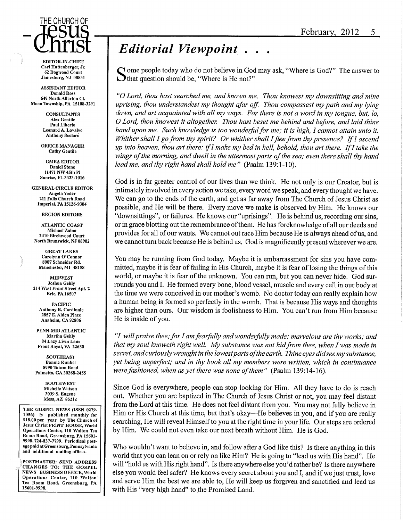

Carl Huttenberger, Jr. 62 Dogwood Court Jamesburg, NJ 08831

**ASSISTANT EDITOR** Donald Ross 649 North AlIertonCt. Moon Township, PA 15108-3291

> **CONSULTANTS** AIex Gentile Paul Liberto Leonard A. Lovalvo Anthony Scolaro

OFFICE MANAGER Cathy Gentile

GMBA EDITOR Daniel Stone 11471 NW 45th Pl Sunrise, FL 3323-1016

GENERAL CIRCLE EDITOR Angela Yoder 211 Falls Church Road Imperial, PA 15126-9304

REGION EDITORS

ATLANTIC COAST Michael Zalno 2410 Birchwood Court North Brunswick, NJ 08902

GREAT LAKES Carolynn O'Connor 8007 Schneider Rd. Manchester, MI 48158

MIDWEST Joshua Gehly 214 West Front Street Apt. 2 Erie, PA 16507

> PACIFIC Anthony R. Cardinale 2857 E.Alden Place Anaheim,CA 92806

PENN-MID ATLANTIC Martha Gehly 84 Lazy Livin Lane Front Royal, VA 22630

**SOUTHEAST** Bonnle Kunkel 8990 Tatum Road Palmetto, GA 30268-2455

> **SOUTHWEST** Michelle Watson 3039 S. Eugene Mesa, AZ 85212

THE GOSPEL NEWS (ISSN 0279- 1056) is published monthly for \$18.00 per year by The Church of Jesus Christ PRINT HOUSE, World Operations Center, HO Walton Tea Room Road, Greensburg, PA 15601- 9998,724-837-7799. Periodical postage paid at Greensburg, Pennsylvania and additional mailing offices.

POSTMASTER: SEND ADDRESS CHANGES TO: THE GOSPEL NEWS BUSINESS OFFICE, World Operations Center, 110 Walton Tea Room Road, Greensburg, PA 15601-9998.

## Editorial Viewpoint.

ome people today who do not believe in God may ask, "Where is God?" The answer to  $\bigcup$  that question should be, "Where is He not?"

"O Lord, thou hast searched me, and known me. Thou knowest my downsitting and mine uprising, thou understandest my thought afar off. Thou compassest my path and my lying down, and art acquainted with all my ways. For there is not a word in my tongue, but, lo, 0 Lord, thou knowest it altogether. Thou hast beset me behind and before, and laid thine hand upon me. Such knowledge is too wonderful for me; it is high, I cannot attain unto it, Whither shall I go from thy spirit? Or whither shall I flee from thy presence? If I ascend up into heaven, thou art there: if I make my bed in hell, behold, thou art there. If I take the wings of the morning, and dwell in the uttermost parts of the sea; even there shall thy hand lead me, and thy right hand shall hold me" (Psalm 139:1-10).

God is in far greater control of our lives than we think. He not only is our Creator, but is intimately involved in every action we take, every word we speak, and every thought we have. We can go to the ends of the earth, and get as far away from The Church of Jesus Christ as possible, and He will be there. Every move we make is observed by Him. He knows our "downsittings", or failures. He knows our "uprisings". He is behind us, recording our sins, or in grace blotting out the remembrance of them. He has foreknowledge of all our deeds and provides for all of our wants. We cannot out race Him because He is always ahead of us,and we cannot turn back because He is behind us. God is magnificently present wherever we are.

You may be running from God today. Maybe it is embarrassment for sins you have committed, maybe it is fear of failing in His Church, maybe it is fear of losing the things of this world, or maybe it is fear of the unknown. You can run, but you can never hide. God surrounds you and I. He formed every bone, blood vessel, muscle and every cell in our body at the time we were conceived in our mother's womb. No doctor today can really explain how a human being is formed so perfectly in the womb. That is because His ways and thoughts are higher than ours. Our wisdom is foolishness to Him. You can't run from Him because He is inside of you.

"/ will praise thee; for I am fearfully and wonderfully made: marvelous are thy works; and that my soul knoweth right well. My substance was not hid from thee, when I was made in secret, and curiously wrought in the lowest parts of the earth. Thine eyes did see my substance, yet being unperfect; and in thy book all my members were written, which in continuance were fashioned, when as yet there was none of them" (Psalm 139:14-16).

Since God is everywhere, people can stop looking for Him. All they have to do is reach out. Whether you are baptized in The Church of Jesus Christ or not, you may feel distant from the Lord at this time. He does not feel distant from you. You may not fully believe in Him or His Church at this time, but that's okay—He believes in you, and if you are really searching. He will reveal Himself to you at the right time in your life. Our steps are ordered by Him. We could not even take our next breath without Him. He is God.

Who wouldn't want to believe in, and follow after a God like this? Is there anything in this world that you can lean on or rely on like Him? He is going to "lead us with His hand". He will "hold us with His right hand". Is there anywhere else you'd rather be? Is there anywhere else you would feel safer? He knows every secret about you and I, and if we just trust, love and serve Him the best we are able to. He will keep us forgiven and sanctified and lead us with His "very high hand" to the Promised Land.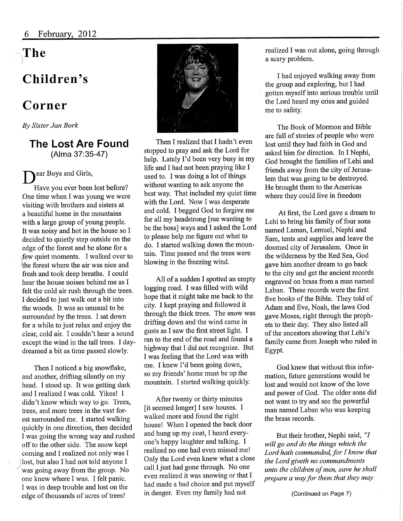# The

## Children's

## Corner

By Sister Jan Bork

### The Lost Are Found (Alma 37:35-47)

 $\mathbf{D}^{*}_{1}$ ear Boys and Girls,

Have you ever been lost before? One time when I was young we were visiting with brothers and sisters at a beautiful home in the mountains with a large group of young people. It was noisy and hot in the house so I decided to quietly step outside on the edge of the forest and be alone for a few quiet moments. I walked over to the forest where the air was nice and fresh and took deep breaths. I could hear the house noises behind me as I felt the cold air rush through the trees. I decided to just walk out a bit into the woods. It was so unusual to be surrounded by the trees. I sat down for a while to just relax and enjoy the clear, cold air. I couldn't hear a sound except the wind in the tall trees. I daydreamed a bit as time passed slowly.

Then I noticed a big snowflake, and another, drifting silently on my head. I stood up. It was getting dark and I realized I was cold. Yikes! I didn't know which way to go. Trees, trees, and more trees in the vast forest surrounded me. I started walking quickly in one direction, then decided I was going the wrong way and rushed off to the other side. The snow kept coming and I realized not only was I lost, but also I had not told anyone I was going away from the group. No one knew where I was. I felt panic. I was in deep trouble and lost on the edge of thousands of acres of trees!



Then I realized that I hadn't even stopped to pray and ask the Lord for help. Lately I'd been very busy in my life and I had not been praying like I used to. I was doing a lot of things without wanting to ask anyone the best way. That included my quiet time with the Lord. Now I was desperate and cold. I begged God to forgive me for all my headstrong [me wanting to be the boss] ways and I asked the Lord to please help me figure out what to do. I started walking down the mountain. Time passed and the trees were blowing in the freezing wind.

All of a sudden I spotted an empty logging road. I was filled with wild hope that it might take me back to the city. I kept praying and followed it through the thick trees. The snow was drifting down and the wind came in gusts as I saw the first street light. I ran to the end of the road and found a highway that I did not recognize. But I was feeling that the Lord was with me. I knew I'd been going down, so my friends' home must be up the mountain. I started walking quickly.

After twenty or thirty minutes [it seemed longer] I saw houses. I walked more and found the right house! When I opened the back door and hung up my coat, I heard everyone's happy laughter and talking. I realized no one had even missed me! Only the Lord even knew what a close call I just had gone through. No one even realized it was snowing or that I had made a bad choice and put myself in danger. Even my family had not

realized I was out alone, going through a scary problem.

I had enjoyed walking away from the group and exploring, but I had gotten myself into serious trouble until the Lord heard my cries and guided me to safety.

The Book of Mormon and Bible are full of stories of people who were lost until they had faith in God and asked him for direction. In I Nephi, God brought the families of Lehi and friends away from the city of Jerusalem that was going to be destroyed. He brought them to the Americas where they could live in freedom

At first, the Lord gave a dream to Lehi to bring his family of four sons named Laman, Lemuel, Nephi and Sam, tents and supplies and leave the doomed city of Jerusalem. Once in the wilderness by the Red Sea, God gave him another dream to go back to the city and get the ancient records engraved on brass from a man named Laban. These records were the first five books of the Bible. They told of Adam and Eve, Noah, the laws God gave Moses, right through the prophets to their day. They also listed all of the ancestors showing that Lehi's family came from Joseph who ruled in Egypt.

God knew that without this information, future generations would be lost and would not know of the love and power of God. The older sons did not want to try and see the powerful man named Laban who was keeping the brass records.

But their brother, Nephi said, "I will go and do the things which the Lord hath commanded, for  $I$  know that the Lord giveth no commandments unto the children of men, save he shall prepare a way for them that they may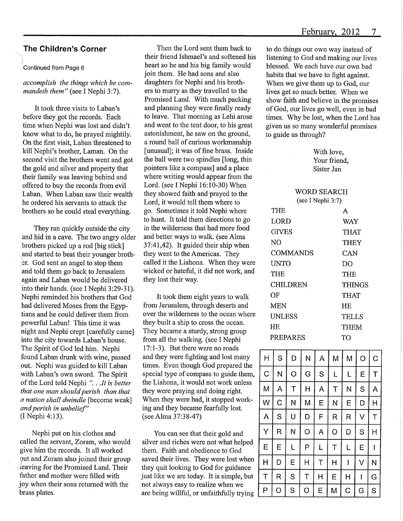### The Children's Corner

#### Continued from Page 6

#### accomplish the things which he commandeth them" (see I Nephi 3:7).

It took three visits to Laban's before they got the records. Each time when Nephi was lost and didn't know what to do, he prayed mightily. On the first visit, Laban threatened to kill Nephi's brother, Laman. On the second visit the brothers went and got the gold and silver and property that their family was leaving behind and offered to buy the records from evil Laban. When Laban saw their wealth he ordered his servants to attack the brothers so he could steal everything.

They ran quickly outside the city and hid in a cave. The two angry older brothers picked up a rod [big stick] ,and started to beat their younger brothsr. God sent an angel to stop them and told them go back to Jerusalem again and Laban would be delivered into their hands, (see I Nephi 3:29-31). Nephi reminded his brothers that God had delivered Moses from the Egyptians and he could deliver them from powerful Laban! This time it was night and Nephi crept [carefully came] into the city towards Laban's house. The Spirit of God led him. Nephi found Laban drunk with wine, passed out. Nephi was guided to kill Laban with Laban's own sword. The Spirit of the Lord told Nephi ". . .It is better that one man should perish than that a nation shall dwindle [become weak] and perish in unbelief" (INephi4:13).

Nephi put on his clothes and called the servant, Zoram, who would give him the records. It all worked out and Zoram also joined their group leaving for the Promised Land. Their father and mother were filled with joy when their sons returned with the brass plates.

Then the Lord sent them back to their friend Ishmael's and softened his heart so he and his big family would join them. He had sons and also daughters for Nephi and his brothers to marry as they travelled to the Promised Land. With much packing and planning they were finally ready to leave. That morning as Lehi arose and went to the tent door, to his great astonishment, he saw on the ground, a round ball of curious workmanship [unusual]; it was of fine brass. Inside the ball were two spindles [long, thin pointers like a compass] and a place where writing would appear from the Lord. (see I Nephi 16:10-30) When they showed faith and prayed to the Lord, it would tell them where to go. Sometimes it told Nephi where to hunt. It told them directions to go in the wilderness that had more food and better ways to walk. (see Alma 37:41,42). It guided their ship when they went to the Americas. They called it the Liahona. When they were wicked or hateful, it did not work, and they lost their way.

It took them eight years to walk from Jerusalem, through deserts and over the wilderness to the ocean where they built a ship to cross the ocean. They became a sturdy, strong group from all the walking, (see I Nephi 17:1-3). But there were no roads and they were fighting and lost many times. Even though God prepared the special type of compass to guide them, the Liahona, it would not work unless they were praying and doing right. When they were bad, it stopped working and they became fearfully lost. (see Alma 37:38-47)

You can see that their gold and silver and riches were not what helped them. Faith and obedience to God saved their lives. They were lost when they quit looking to God for guidance just like we are today. It is simple, but not always easy to realize when we are being willful, or unfaithfully trying

to do things our own way instead of listening to God and making our lives blessed. We each have our own bad habits that we have to fight against. When we give them up to God, our lives get so much better. When we show faith and believe in the promises of God, our lives go well, even in bad times. Why be lost, when the Lord has given us so many wonderful promises to guide us through?

> With love, Your friend, Sister Jan

WORD SEARCH

| (see I Nephi 3:7) |        |
|-------------------|--------|
| THE               | A      |
| LORD              | WAY    |
| GIVES             | THAT   |
| NΟ                | THEY   |
| COMMANDS          | CAN    |
| <b>UNTO</b>       | DO     |
| THE               | THE    |
| CHILDREN          | THINGS |
| OF                | THAT   |
| MEN               | HE.    |
| UNLESS            | TELLS  |
| ΗE                | THEM   |
| PREPARES          | TO     |

| H | S             | D | N | A | M | M | O | C |
|---|---------------|---|---|---|---|---|---|---|
| C | N             | O | G | S | L | L | Ε | Τ |
| M | Α             | T | Η | A | Τ | N | S | Α |
| W | C             | N | M | Ε | N | E | D | Η |
| A | ${\mathbb S}$ | U | D | F | R | R | V | T |
| Y | R             | N | O | A | O | D | S | Η |
| E | Е             | L | Ρ | L | T | L | Е | I |
| Η | D             | Ε | Η | Τ | Η | I | V | N |
| T | R             | S | T | Н | Е | Η | I | G |
| Ρ | O             | S | റ | Е | м | C | G | S |